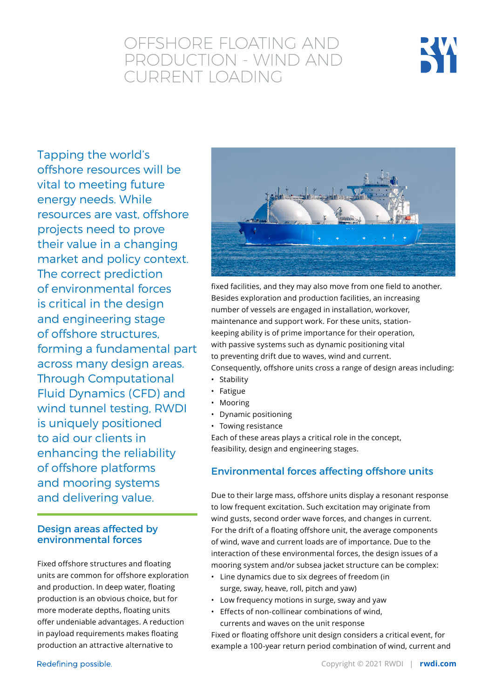# OFFSHORE FLOATING AND PRODUCTION - WIND AND CURRENT LOADING



Tapping the world's offshore resources will be vital to meeting future energy needs. While resources are vast, offshore projects need to prove their value in a changing market and policy context. The correct prediction of environmental forces is critical in the design and engineering stage of offshore structures, forming a fundamental part across many design areas. Through Computational Fluid Dynamics (CFD) and wind tunnel testing, RWDI is uniquely positioned to aid our clients in enhancing the reliability of offshore platforms and mooring systems and delivering value.

#### Design areas affected by environmental forces

Fixed offshore structures and floating units are common for offshore exploration and production. In deep water, floating production is an obvious choice, but for more moderate depths, floating units offer undeniable advantages. A reduction in payload requirements makes floating production an attractive alternative to



fixed facilities, and they may also move from one field to another. Besides exploration and production facilities, an increasing number of vessels are engaged in installation, workover, maintenance and support work. For these units, stationkeeping ability is of prime importance for their operation, with passive systems such as dynamic positioning vital to preventing drift due to waves, wind and current. Consequently, offshore units cross a range of design areas including:

- Stability
- Fatigue
- Mooring
- Dynamic positioning
- Towing resistance

Each of these areas plays a critical role in the concept, feasibility, design and engineering stages.

## Environmental forces affecting offshore units

Due to their large mass, offshore units display a resonant response to low frequent excitation. Such excitation may originate from wind gusts, second order wave forces, and changes in current. For the drift of a floating offshore unit, the average components of wind, wave and current loads are of importance. Due to the interaction of these environmental forces, the design issues of a mooring system and/or subsea jacket structure can be complex:

- Line dynamics due to six degrees of freedom (in surge, sway, heave, roll, pitch and yaw)
- Low frequency motions in surge, sway and yaw
- Effects of non-collinear combinations of wind, currents and waves on the unit response

Fixed or floating offshore unit design considers a critical event, for example a 100-year return period combination of wind, current and